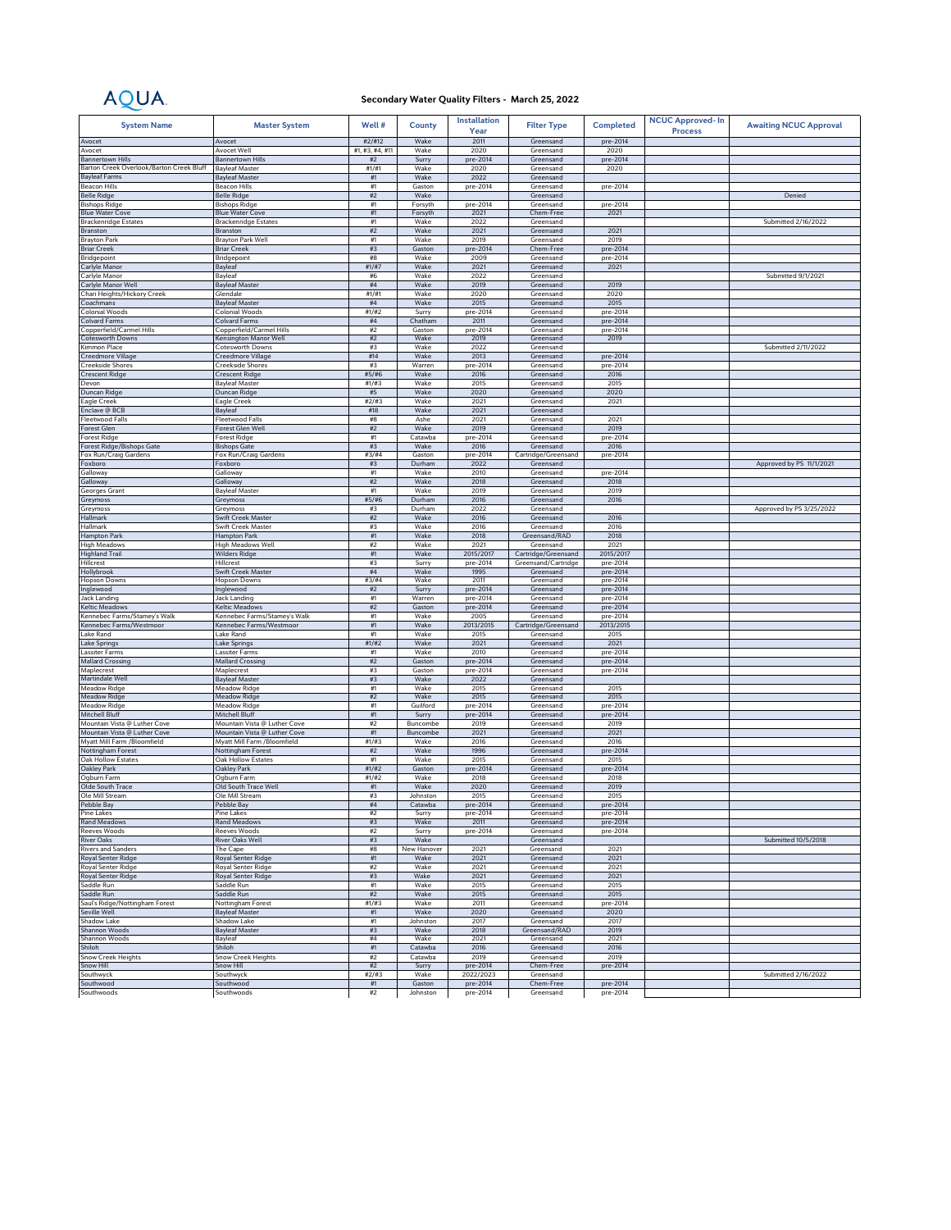## AQUA.

## **Secondary Water Quality Filters - March 25, 2022**

| <b>System Name</b>                                  | <b>Master System</b>                              | Well#                 | <b>County</b>       | <b>Installation</b><br>Year | <b>Filter Type</b>               | <b>Completed</b>     | <b>NCUC Approved-In</b><br><b>Process</b> | <b>Awaiting NCUC Approval</b> |
|-----------------------------------------------------|---------------------------------------------------|-----------------------|---------------------|-----------------------------|----------------------------------|----------------------|-------------------------------------------|-------------------------------|
| Avocet                                              | Avocet                                            | #2/#12                | Wake                | 2011                        | Greensand                        | pre-2014             |                                           |                               |
| Avocet<br><b>Bannertown Hills</b>                   | Avocet Well<br><b>Bannertown Hills</b>            | #1, #3, #4, #11<br>#2 | Wake<br>Surry       | 2020<br>pre-2014            | Greensand<br>Greensand           | 2020<br>pre-2014     |                                           |                               |
| Barton Creek Overlook/Barton Creek Bluff            | <b>Bayleaf Master</b>                             | #1/H1                 | Wake                | 2020                        | Greensand                        | 2020                 |                                           |                               |
| <b>Bayleaf Farms</b>                                | <b>Bayleaf Master</b>                             | #1                    | Wake                | 2022                        | Greensand                        |                      |                                           |                               |
| <b>Beacon Hills</b>                                 | Beacon Hills                                      | #1                    | Gaston              | pre-2014                    | Greensand                        | pre-2014             |                                           |                               |
| <b>Belle Ridge</b><br><b>Bishops Ridge</b>          | <b>Belle Ridge</b><br><b>Bishops Ridge</b>        | #2<br>#1              | Wake<br>Forsyth     | pre-2014                    | Greensand<br>Greensand           | pre-2014             |                                           | Denied                        |
| <b>Blue Water Cove</b>                              | <b>Blue Water Cove</b>                            | $\#1$                 | Forsyth             | 2021                        | Chem-Free                        | 2021                 |                                           |                               |
| <b>Brackenridge Estates</b>                         | <b>Brackenridge Estates</b>                       | #1                    | Wake                | 2022                        | Greensand                        |                      |                                           | Submitted 2/16/2022           |
| Branston                                            | Branston                                          | $\#2$                 | Wake                | 2021                        | Greensand                        | 2021                 |                                           |                               |
| <b>Brayton Park</b><br><b>Briar Creek</b>           | Brayton Park Well<br><b>Briar Creek</b>           | #1<br>#3              | Wake<br>Gaston      | 2019<br>pre-2014            | Greensand<br>Chem-Free           | 2019<br>pre-2014     |                                           |                               |
| Bridgepoint                                         | Bridgepoint                                       | #8                    | Wake                | 2009                        | Greensand                        | pre-2014             |                                           |                               |
| Carlyle Manor                                       | Bayleaf                                           | #1/#7                 | Wake                | 2021                        | Greensand                        | 2021                 |                                           |                               |
| Carlyle Manor                                       | Bayleat<br><b>Bayleaf Master</b>                  | #6<br>$\#4$           | Wake<br>Wake        | 2022<br>2019                | Greensand                        |                      |                                           | Submitted 9/1/2021            |
| Carlyle Manor Well<br>Chari Heights/Hickory Creek   | Glendale                                          | #1/#1                 | Wake                | 2020                        | Greensand<br>Greensand           | 2019<br>2020         |                                           |                               |
| Coachmans                                           | <b>Bayleaf Master</b>                             | #4                    | Wake                | 2015                        | Greensand                        | 2015                 |                                           |                               |
| Colonial Woods                                      | Colonial Woods                                    | #1/#2                 | Surry               | pre-2014                    | Greensand                        | pre-2014             |                                           |                               |
| <b>Colvard Farms</b>                                | <b>Colvard Farms</b>                              | $\#4$                 | Chatham<br>Gaston   | 2011                        | Greensand<br>Greensand           | pre-2014             |                                           |                               |
| Copperfield/Carmel Hills<br><b>Cotesworth Downs</b> | Copperfield/Carmel Hills<br>Kensington Manor Well | $\#2$<br>$\#2$        | Wake                | pre-2014<br>2019            | Greensand                        | pre-2014<br>2019     |                                           |                               |
| Kimmon Place                                        | Cotesworth Downs                                  | #3                    | Wake                | 2022                        | Greensand                        |                      |                                           | Submitted 2/11/2022           |
| Creedmore Village                                   | Creedmore Village                                 | #14                   | Wake                | 2013                        | Greensand                        | pre-2014             |                                           |                               |
| <b>Creekside Shores</b>                             | Creekside Shores                                  | #3                    | Warren              | pre-2014                    | Greensand                        | pre-2014             |                                           |                               |
| <b>Crescent Ridge</b><br>Devon                      | <b>Crescent Ridge</b><br><b>Bayleaf Master</b>    | #5/#6<br>#1#3         | Wake<br>Wake        | 2016<br>2015                | Greensand<br>Greensand           | 2016<br>2015         |                                           |                               |
| Duncan Ridge                                        | Duncan Ridge                                      | #5                    | Wake                | 2020                        | Greensand                        | 2020                 |                                           |                               |
| Eagle Creek                                         | Eagle Creek                                       | #2/#3                 | Wake                | 2021                        | Greensand                        | 2021                 |                                           |                               |
| Enclave @ BCB                                       | Bayleaf                                           | #18                   | Wake                | 2021                        | Greensand                        |                      |                                           |                               |
| <b>Fleetwood Falls</b>                              | <b>Fleetwood Falls</b>                            | #8                    | Ashe                | 2021                        | Greensand<br>Greensand           | 2021                 |                                           |                               |
| <b>Forest Glen</b><br><b>Forest Ridge</b>           | Forest Glen Well<br><b>Forest Ridge</b>           | $\#2$<br>$\#1$        | Wake<br>Catawba     | 2019<br>pre-2014            | Greensand                        | 2019<br>pre-2014     |                                           |                               |
| Forest Ridge/Bishops Gate                           | <b>Bishops Gate</b>                               | #3                    | Wake                | 2016                        | Greensand                        | 2016                 |                                           |                               |
| Fox Run/Craig Gardens                               | Fox Run/Craig Gardens                             | #3/#4                 | Gaston              | pre-2014                    | Cartridge/Greensand              | pre-2014             |                                           |                               |
| Foxboro                                             | Foxboro                                           | #3                    | Durham              | 2022                        | Greensand                        |                      |                                           | Approved by PS 11/1/2021      |
| Galloway<br>Galloway                                | Galloway<br>Galloway                              | #1<br>#2              | Wake<br>Wake        | 2010<br>2018                | Greensand<br>Greensand           | pre-2014<br>2018     |                                           |                               |
| Georges Grant                                       | <b>Bayleaf Master</b>                             | #1                    | Wake                | 2019                        | Greensand                        | 2019                 |                                           |                               |
| Greymoss                                            | Greymoss                                          | #5/#6                 | Durham              | 2016                        | Greensand                        | 2016                 |                                           |                               |
| Greymoss                                            | Greymoss                                          | #3                    | Durham              | 2022                        | Greensand                        |                      |                                           | Approved by PS 3/25/2022      |
| Hallmark<br>Hallmark                                | Swift Creek Master<br>Swift Creek Master          | #2<br>#3              | Wake<br>Wake        | 2016<br>2016                | Greensand<br>Greensand           | 2016<br>2016         |                                           |                               |
| Hampton Park                                        | Hampton Park                                      | #1                    | Wake                | 2018                        | Greensand/RAD                    | 2018                 |                                           |                               |
| <b>High Meadows</b>                                 | High Meadows Well                                 | #2                    | Wake                | 2021                        | Greensand                        | 2021                 |                                           |                               |
| <b>Highland Trail</b>                               | <b>Wilders Ridge</b>                              | $\#1$                 | Wake                | 2015/2017                   | Cartridge/Greensand              | 2015/2017            |                                           |                               |
| Hillcrest                                           | Hillcrest<br>Swift Creek Master                   | #3<br>$\#4$           | Surry<br>Wake       | pre-2014<br>1995            | Greensand/Cartridge<br>Greensand | pre-2014<br>pre-2014 |                                           |                               |
| Hollybrook<br><b>Hopson Downs</b>                   | <b>Hopson Downs</b>                               | #3/#4                 | Wake                | 2011                        | Greensand                        | pre-2014             |                                           |                               |
| Inglewood                                           | Inglewood                                         | #2                    | Surry               | pre-2014                    | Greensand                        | pre-2014             |                                           |                               |
| Jack Landing                                        | Jack Landing                                      | #1                    | Warren              | pre-2014                    | Greensand                        | pre-2014             |                                           |                               |
| Keltic Meadows<br>Kennebec Farms/Stamey's Walk      | Keltic Meadows<br>Kennebec Farms/Stamey's Walk    | #2<br>#1              | Gaston<br>Wake      | pre-2014<br>2005            | Greensand<br>Greensand           | pre-2014<br>pre-2014 |                                           |                               |
| Kennebec Farms/Westmoor                             | Kennebec Farms/Westmoor                           | #1                    | Wake                | 2013/2015                   | Cartridge/Greensand              | 2013/2015            |                                           |                               |
| Lake Rand                                           | Lake Rand                                         | #1                    | Wake                | 2015                        | Greensand                        | 2015                 |                                           |                               |
| Lake Springs                                        | Lake Springs                                      | #1/#2                 | Wake                | 2021                        | Greensand                        | 2021                 |                                           |                               |
| Lassiter Farms                                      | Lassiter Farms                                    | #1                    | Wake                | 2010                        | Greensand                        | pre-2014             |                                           |                               |
| <b>Mallard Crossing</b><br>Maplecrest               | <b>Mallard Crossing</b><br>Maplecrest             | #2<br>#3              | Gaston<br>Gaston    | pre-2014<br>pre-2014        | Greensand<br>Greensand           | pre-2014<br>pre-2014 |                                           |                               |
| Martindale Well                                     | <b>Bayleaf Master</b>                             | #3                    | Wake                | 2022                        | Greensand                        |                      |                                           |                               |
| Meadow Ridge                                        | Meadow Ridge                                      | #1                    | Wake                | 2015                        | Greensand                        | 2015                 |                                           |                               |
| Meadow Ridge                                        | <b>Meadow Ridge</b>                               | $\#2$                 | Wake                | 2015                        | Greensand                        | 2015                 |                                           |                               |
| Meadow Ridge<br>Mitchell Bluff                      | <b>Meadow Ridge</b><br>Mitchell Bluff             | #1<br>#1              | Guilford<br>Surry   | pre-2014<br>pre-2014        | Greensand<br>Greensand           | pre-2014<br>pre-2014 |                                           |                               |
| Mountain Vista @ Luther Cove                        | Mountain Vista @ Luther Cove                      | $\#2$                 | Buncombe            | 2019                        | Greensand                        | 2019                 |                                           |                               |
| Mountain Vista @ Luther Cove                        | Mountain Vista @ Luther Cove                      | #1                    | Buncombe            | 2021                        | Greensand                        | 2021                 |                                           |                               |
| Myatt Mill Farm /Bloomfield                         | Myatt Mill Farm /Bloomfield                       | #1/H3                 | Wake                | 2016                        | Greensand                        | 2016                 |                                           |                               |
| Nottingham Forest<br>Oak Hollow Estates             | Nottingham Forest<br>Oak Hollow Estates           | #2<br>#1              | Wake<br>Wake        | 1996<br>2015                | Greensand<br>Greensand           | pre-2014<br>2015     |                                           |                               |
| Oakley Park                                         | Oakley Park                                       | #1/#2                 | Gaston              | pre-2014                    | Greensand                        | pre-2014             |                                           |                               |
| Ogburn Farm                                         | Ogburn Farm                                       | #1/H2                 | Wake                | 2018                        | Greensand                        | 2018                 |                                           |                               |
| Olde South Trace                                    | Old South Trace Well                              | #1                    | Wake                | 2020                        | Greensand                        | 2019                 |                                           |                               |
| Ole Mill Stream<br>Pebble Bay                       | Ole Mill Stream<br>Pebble Bay                     | #3<br>#4              | Johnston<br>Catawba | 2015<br>pre-2014            | Greensand<br>Greensand           | 2015<br>pre-2014     |                                           |                               |
| Pine Lakes                                          | Pine Lakes                                        | #2                    | Surry               | pre-2014                    | Greensand                        | pre-2014             |                                           |                               |
| <b>Rand Meadows</b>                                 | Rand Meadows                                      | #3                    | Wake                | 2011                        | Greensand                        | pre-2014             |                                           |                               |
| <b>Reeves Woods</b>                                 | Reeves Woods                                      | #2                    | Surry               | pre-2014                    | Greensand                        | pre-2014             |                                           |                               |
| <b>River Oaks</b>                                   | <b>River Oaks Well</b>                            | #3<br>#8              | Wake                | 2021                        | Greensand<br>Greensand           | 2021                 |                                           | Submitted 10/5/2018           |
| <b>Rivers and Sanders</b><br>Royal Senter Ridge     | The Cape<br><b>Royal Senter Ridge</b>             | #1                    | New Hanover<br>Wake | 2021                        | Greensand                        | 2021                 |                                           |                               |
| Royal Senter Ridge                                  | Royal Senter Ridge                                | #2                    | Wake                | 2021                        | Greensand                        | 2021                 |                                           |                               |
| <b>Royal Senter Ridge</b>                           | Royal Senter Ridge                                | #3                    | Wake                | 2021                        | Greensand                        | 2021                 |                                           |                               |
| Saddle Run                                          | Saddle Run                                        | #1                    | Wake                | 2015                        | Greensand                        | 2015                 |                                           |                               |
| Saddle Run<br>Saul's Ridge/Nottingham Forest        | Saddle Run<br>Nottingham Forest                   | $\#2$<br>#1/#3        | Wake<br>Wake        | 2015<br>2011                | Greensand<br>Greensand           | 2015<br>pre-2014     |                                           |                               |
| Seville Well                                        | <b>Bayleaf Master</b>                             | $\#1$                 | Wake                | 2020                        | Greensand                        | 2020                 |                                           |                               |
| Shadow Lake                                         | Shadow Lake                                       | #1                    | Johnston            | 2017                        | Greensand                        | 2017                 |                                           |                               |
| Shannon Woods                                       | <b>Bayleaf Master</b>                             | #3                    | Wake                | 2018                        | Greensand/RAD                    | 2019                 |                                           |                               |
| Shannon Woods<br>Shiloh                             | Bayleaf<br>Shiloh                                 | #4<br>#1              | Wake<br>Catawba     | 2021<br>2016                | Greensand<br>Greensand           | 2021<br>2016         |                                           |                               |
| Snow Creek Heights                                  | Snow Creek Heights                                | #2                    | Catawba             | 2019                        | Greensand                        | 2019                 |                                           |                               |
| Snow Hill                                           | Snow Hill                                         | $\#2$                 | Surry               | pre-2014                    | Chem-Free                        | pre-2014             |                                           |                               |
| Southwyck                                           | Southwyck                                         | #2#3                  | Wake                | 2022/2023                   | Greensand                        |                      |                                           | Submitted 2/16/2022           |
| Southwood<br>Southwoods                             | Southwood<br>Southwoods                           | #1<br>#2              | Gaston<br>Johnston  | pre-2014<br>pre-2014        | Chem-Free<br>Greensand           | pre-2014<br>pre-2014 |                                           |                               |
|                                                     |                                                   |                       |                     |                             |                                  |                      |                                           |                               |